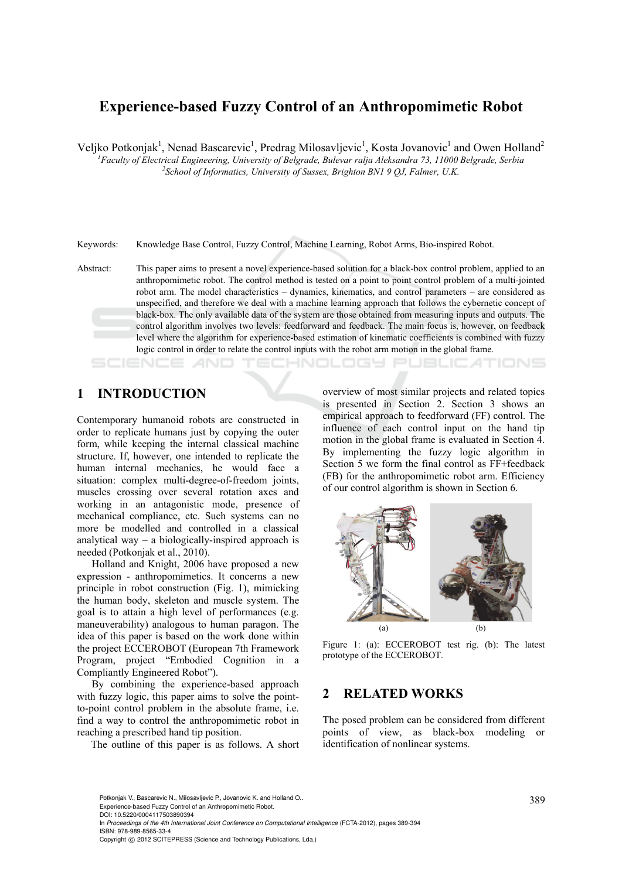# **Experience-based Fuzzy Control of an Anthropomimetic Robot**

Veljko Potkonjak<sup>1</sup>, Nenad Bascarevic<sup>1</sup>, Predrag Milosavljevic<sup>1</sup>, Kosta Jovanovic<sup>1</sup> and Owen Holland<sup>2</sup>

<sup>1</sup><br>
<sup>1</sup> Faculty of Electrical Engineering, University of Belgrade, Bulevar ralja Aleksandra 73, 11000 Belgrade, Serbia <sup>2</sup>Sehool of Information *Linippyity of Sugger*, Brighton *BMJ* 0.01 Eclinear *LLK* <sup>2</sup> School of Informatics, University of Sussex, Brighton BN1 9 QJ, Falmer, U.K.

Keywords: Knowledge Base Control, Fuzzy Control, Machine Learning, Robot Arms, Bio-inspired Robot.

Abstract: This paper aims to present a novel experience-based solution for a black-box control problem, applied to an anthropomimetic robot. The control method is tested on a point to point control problem of a multi-jointed robot arm. The model characteristics – dynamics, kinematics, and control parameters – are considered as unspecified, and therefore we deal with a machine learning approach that follows the cybernetic concept of black-box. The only available data of the system are those obtained from measuring inputs and outputs. The control algorithm involves two levels: feedforward and feedback. The main focus is, however, on feedback level where the algorithm for experience-based estimation of kinematic coefficients is combined with fuzzy logic control in order to relate the control inputs with the robot arm motion in the global frame.

'HNOLOGY Pl

## **1 INTRODUCTION**

Contemporary humanoid robots are constructed in order to replicate humans just by copying the outer form, while keeping the internal classical machine structure. If, however, one intended to replicate the human internal mechanics, he would face a situation: complex multi-degree-of-freedom joints, muscles crossing over several rotation axes and working in an antagonistic mode, presence of mechanical compliance, etc. Such systems can no more be modelled and controlled in a classical analytical way  $-$  a biologically-inspired approach is needed (Potkonjak et al., 2010).

Holland and Knight, 2006 have proposed a new expression - anthropomimetics. It concerns a new principle in robot construction (Fig. 1), mimicking the human body, skeleton and muscle system. The goal is to attain a high level of performances (e.g. maneuverability) analogous to human paragon. The idea of this paper is based on the work done within the project ECCEROBOT (European 7th Framework Program, project "Embodied Cognition in a Compliantly Engineered Robot").

By combining the experience-based approach with fuzzy logic, this paper aims to solve the pointto-point control problem in the absolute frame, i.e. find a way to control the anthropomimetic robot in reaching a prescribed hand tip position.

The outline of this paper is as follows. A short

overview of most similar projects and related topics is presented in Section 2. Section 3 shows an empirical approach to feedforward (FF) control. The influence of each control input on the hand tip motion in the global frame is evaluated in Section 4. By implementing the fuzzy logic algorithm in Section 5 we form the final control as FF+feedback (FB) for the anthropomimetic robot arm. Efficiency of our control algorithm is shown in Section 6.

JBLIC ATIONS



Figure 1: (a): ECCEROBOT test rig. (b): The latest prototype of the ECCEROBOT.

### **2 RELATED WORKS**

The posed problem can be considered from different points of view, as black-box modeling or identification of nonlinear systems.

389 Potkonjak V., Bascarevic N., Milosavljevic P., Jovanovic K. and Holland O.. Experience-based Fuzzy Control of an Anthropomimetic Robot. DOI: 10.5220/0004117503890394

In *Proceedings of the 4th International Joint Conference on Computational Intelligence* (FCTA-2012), pages 389-394 ISBN: 978-989-8565-33-4

Copyright © 2012 SCITEPRESS (Science and Technology Publications, Lda.)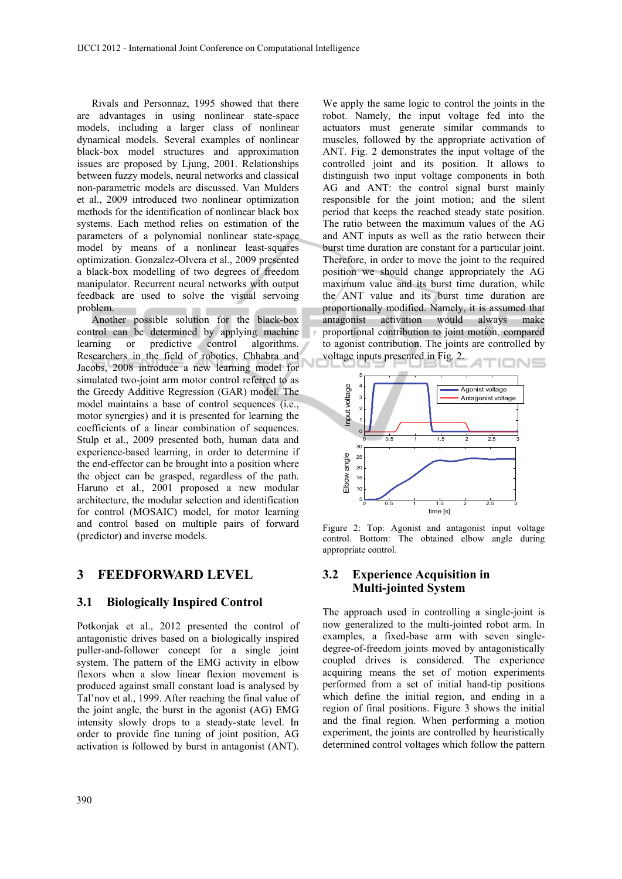Rivals and Personnaz, 1995 showed that there are advantages in using nonlinear state-space models, including a larger class of nonlinear dynamical models. Several examples of nonlinear black-box model structures and approximation issues are proposed by Ljung, 2001. Relationships between fuzzy models, neural networks and classical non-parametric models are discussed. Van Mulders et al., 2009 introduced two nonlinear optimization methods for the identification of nonlinear black box systems. Each method relies on estimation of the parameters of a polynomial nonlinear state-space model by means of a nonlinear least-squares optimization. Gonzalez-Olvera et al., 2009 presented a black-box modelling of two degrees of freedom manipulator. Recurrent neural networks with output feedback are used to solve the visual servoing problem.

Another possible solution for the black-box control can be determined by applying machine learning or predictive control algorithms. Researchers in the field of robotics, Chhabra and Jacobs, 2008 introduce a new learning model for simulated two-joint arm motor control referred to as the Greedy Additive Regression (GAR) model. The model maintains a base of control sequences (i.e., motor synergies) and it is presented for learning the coefficients of a linear combination of sequences. Stulp et al., 2009 presented both, human data and experience-based learning, in order to determine if the end-effector can be brought into a position where the object can be grasped, regardless of the path. Haruno et al., 2001 proposed a new modular architecture, the modular selection and identification for control (MOSAIC) model, for motor learning and control based on multiple pairs of forward (predictor) and inverse models.

### **3 FEEDFORWARD LEVEL**

#### **3.1 Biologically Inspired Control**

Potkonjak et al., 2012 presented the control of antagonistic drives based on a biologically inspired puller-and-follower concept for a single joint system. The pattern of the EMG activity in elbow flexors when a slow linear flexion movement is produced against small constant load is analysed by Tal'nov et al., 1999. After reaching the final value of the joint angle, the burst in the agonist (AG) EMG intensity slowly drops to a steady-state level. In order to provide fine tuning of joint position, AG activation is followed by burst in antagonist (ANT).

We apply the same logic to control the joints in the robot. Namely, the input voltage fed into the actuators must generate similar commands to muscles, followed by the appropriate activation of ANT. Fig. 2 demonstrates the input voltage of the controlled joint and its position. It allows to distinguish two input voltage components in both AG and ANT: the control signal burst mainly responsible for the joint motion; and the silent period that keeps the reached steady state position. The ratio between the maximum values of the AG and ANT inputs as well as the ratio between their burst time duration are constant for a particular joint. Therefore, in order to move the joint to the required position we should change appropriately the AG maximum value and its burst time duration, while the ANT value and its burst time duration are proportionally modified. Namely, it is assumed that antagonist activation would always make proportional contribution to joint motion, compared to agonist contribution. The joints are controlled by voltage inputs presented in Fig. 2.



Figure 2: Top: Agonist and antagonist input voltage control. Bottom: The obtained elbow angle during appropriate control.

### **3.2 Experience Acquisition in Multi-jointed System**

The approach used in controlling a single-joint is now generalized to the multi-jointed robot arm. In examples, a fixed-base arm with seven singledegree-of-freedom joints moved by antagonistically coupled drives is considered. The experience acquiring means the set of motion experiments performed from a set of initial hand-tip positions which define the initial region, and ending in a region of final positions. Figure 3 shows the initial and the final region. When performing a motion experiment, the joints are controlled by heuristically determined control voltages which follow the pattern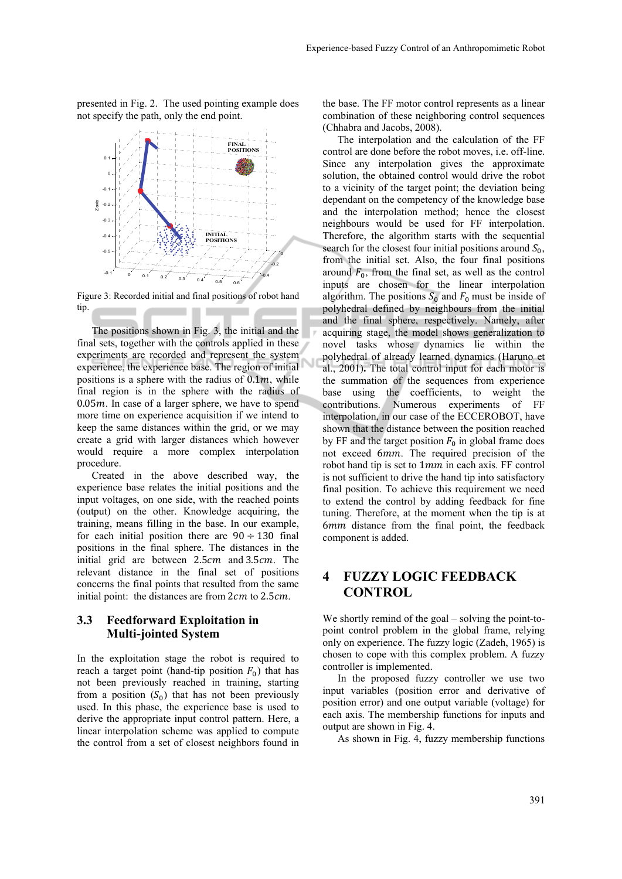presented in Fig. 2. The used pointing example does not specify the path, only the end point.



Figure 3: Recorded initial and final positions of robot hand tip.

The positions shown in Fig. 3, the initial and the final sets, together with the controls applied in these experiments are recorded and represent the system experience, the experience base. The region of initial positions is a sphere with the radius of  $0.1<sub>m</sub>$ , while final region is in the sphere with the radius of  $0.05m$ . In case of a larger sphere, we have to spend more time on experience acquisition if we intend to keep the same distances within the grid, or we may create a grid with larger distances which however would require a more complex interpolation procedure.

Created in the above described way, the experience base relates the initial positions and the input voltages, on one side, with the reached points (output) on the other. Knowledge acquiring, the training, means filling in the base. In our example, for each initial position there are  $90 \div 130$  final positions in the final sphere. The distances in the initial grid are between  $2.5cm$  and  $3.5cm$ . The relevant distance in the final set of positions concerns the final points that resulted from the same initial point: the distances are from  $2cm$  to  $2.5cm$ .

### **3.3 Feedforward Exploitation in Multi-jointed System**

In the exploitation stage the robot is required to reach a target point (hand-tip position  $F_0$ ) that has not been previously reached in training, starting from a position  $(S_0)$  that has not been previously used. In this phase, the experience base is used to derive the appropriate input control pattern. Here, a linear interpolation scheme was applied to compute the control from a set of closest neighbors found in

the base. The FF motor control represents as a linear combination of these neighboring control sequences (Chhabra and Jacobs, 2008).

The interpolation and the calculation of the FF control are done before the robot moves, i.e. off-line. Since any interpolation gives the approximate solution, the obtained control would drive the robot to a vicinity of the target point; the deviation being dependant on the competency of the knowledge base and the interpolation method; hence the closest neighbours would be used for FF interpolation. Therefore, the algorithm starts with the sequential search for the closest four initial positions around  $S_0$ , from the initial set. Also, the four final positions around  $F_0$ , from the final set, as well as the control inputs are chosen for the linear interpolation algorithm. The positions  $S_0$  and  $F_0$  must be inside of polyhedral defined by neighbours from the initial and the final sphere, respectively. Namely, after acquiring stage, the model shows generalization to novel tasks whose dynamics lie within the polyhedral of already learned dynamics (Haruno et al., 2001)**.** The total control input for each motor is the summation of the sequences from experience base using the coefficients, to weight the contributions. Numerous experiments of FF interpolation, in our case of the ECCEROBOT, have shown that the distance between the position reached by FF and the target position  $F_0$  in global frame does not exceed 6mm. The required precision of the robot hand tip is set to 1mm in each axis. FF control is not sufficient to drive the hand tip into satisfactory final position. To achieve this requirement we need to extend the control by adding feedback for fine tuning. Therefore, at the moment when the tip is at 6mm distance from the final point, the feedback component is added.

### **4 FUZZY LOGIC FEEDBACK CONTROL**

We shortly remind of the goal – solving the point-topoint control problem in the global frame, relying only on experience. The fuzzy logic (Zadeh, 1965) is chosen to cope with this complex problem. A fuzzy controller is implemented.

In the proposed fuzzy controller we use two input variables (position error and derivative of position error) and one output variable (voltage) for each axis. The membership functions for inputs and output are shown in Fig. 4.

As shown in Fig. 4, fuzzy membership functions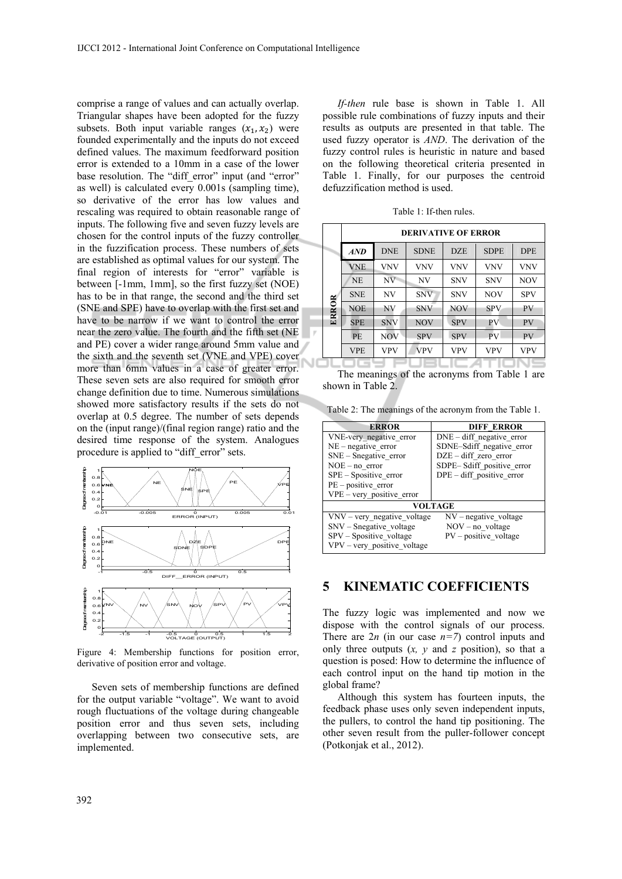comprise a range of values and can actually overlap. Triangular shapes have been adopted for the fuzzy subsets. Both input variable ranges  $(x_1, x_2)$  were founded experimentally and the inputs do not exceed defined values. The maximum feedforward position error is extended to a 10mm in a case of the lower base resolution. The "diff error" input (and "error" as well) is calculated every 0.001s (sampling time), so derivative of the error has low values and rescaling was required to obtain reasonable range of inputs. The following five and seven fuzzy levels are chosen for the control inputs of the fuzzy controller in the fuzzification process. These numbers of sets are established as optimal values for our system. The final region of interests for "error" variable is between [-1mm, 1mm], so the first fuzzy set (NOE) has to be in that range, the second and the third set (SNE and SPE) have to overlap with the first set and have to be narrow if we want to control the error near the zero value. The fourth and the fifth set (NE and PE) cover a wider range around 5mm value and the sixth and the seventh set (VNE and VPE) cover more than 6mm values in a case of greater error. These seven sets are also required for smooth error change definition due to time. Numerous simulations showed more satisfactory results if the sets do not overlap at 0.5 degree. The number of sets depends on the (input range)/(final region range) ratio and the desired time response of the system. Analogues procedure is applied to "diff\_error" sets.



Figure 4: Membership functions for position error, derivative of position error and voltage.

Seven sets of membership functions are defined for the output variable "voltage". We want to avoid rough fluctuations of the voltage during changeable position error and thus seven sets, including overlapping between two consecutive sets, are implemented.

*If-then* rule base is shown in Table 1. All possible rule combinations of fuzzy inputs and their results as outputs are presented in that table. The used fuzzy operator is *AND*. The derivation of the fuzzy control rules is heuristic in nature and based on the following theoretical criteria presented in Table 1. Finally, for our purposes the centroid defuzzification method is used.

Table 1: If-then rules.

|       | <b>DERIVATIVE OF ERROR</b> |            |             |            |             |            |
|-------|----------------------------|------------|-------------|------------|-------------|------------|
|       | AND                        | <b>DNE</b> | <b>SDNE</b> | <b>DZE</b> | <b>SDPE</b> | <b>DPE</b> |
| ERROR | <b>VNE</b>                 | <b>VNV</b> | VNV         | <b>VNV</b> | <b>VNV</b>  | <b>VNV</b> |
|       | <b>NE</b>                  | NV         | NV          | <b>SNV</b> | <b>SNV</b>  | <b>NOV</b> |
|       | <b>SNE</b>                 | NV         | <b>SNV</b>  | <b>SNV</b> | <b>NOV</b>  | <b>SPV</b> |
|       | <b>NOE</b>                 | <b>NV</b>  | <b>SNV</b>  | <b>NOV</b> | <b>SPV</b>  | <b>PV</b>  |
|       | <b>SPE</b>                 | <b>SNV</b> | <b>NOV</b>  | <b>SPV</b> | <b>PV</b>   | <b>PV</b>  |
|       | <b>PE</b>                  | <b>NOV</b> | <b>SPV</b>  | <b>SPV</b> | <b>PV</b>   | PV         |
|       | VPE                        | <b>VPV</b> | <b>VPV</b>  | <b>VPV</b> | <b>VPV</b>  | VPV        |
|       |                            |            |             |            |             |            |

The meanings of the acronyms from Table 1 are shown in Table 2.

Table 2: The meanings of the acronym from the Table 1.

| <b>ERROR</b>                  | <b>DIFF ERROR</b>           |  |  |  |  |
|-------------------------------|-----------------------------|--|--|--|--|
| VNE-very negative error       | $DNE - diff$ negative error |  |  |  |  |
| $NE - negative error$         | SDNE-Sdiff negative error   |  |  |  |  |
| $SNE - Snegative error$       | $DZE - diff$ zero error     |  |  |  |  |
| $NOE - no error$              | SDPE-Sdiff_positive_error   |  |  |  |  |
| $SPE - Spositive error$       | $DPE - diff$ positive error |  |  |  |  |
| $PE - positive error$         |                             |  |  |  |  |
| $VPE - very positive error$   |                             |  |  |  |  |
| <b>VOLTAGE</b>                |                             |  |  |  |  |
| $VNV - very negative voltage$ | $NV$ – negative voltage     |  |  |  |  |
| $SNV - S\nnegative$ voltage   | $NOV - no$ voltage          |  |  |  |  |
| SPV - Spositive_voltage       | $PV - positive$ voltage     |  |  |  |  |
| VPV - very_positive_voltage   |                             |  |  |  |  |

### **5 KINEMATIC COEFFICIENTS**

The fuzzy logic was implemented and now we dispose with the control signals of our process. There are  $2n$  (in our case  $n=7$ ) control inputs and only three outputs  $(x, y, z)$  and  $z$  position), so that a question is posed: How to determine the influence of each control input on the hand tip motion in the global frame?

Although this system has fourteen inputs, the feedback phase uses only seven independent inputs, the pullers, to control the hand tip positioning. The other seven result from the puller-follower concept (Potkonjak et al., 2012).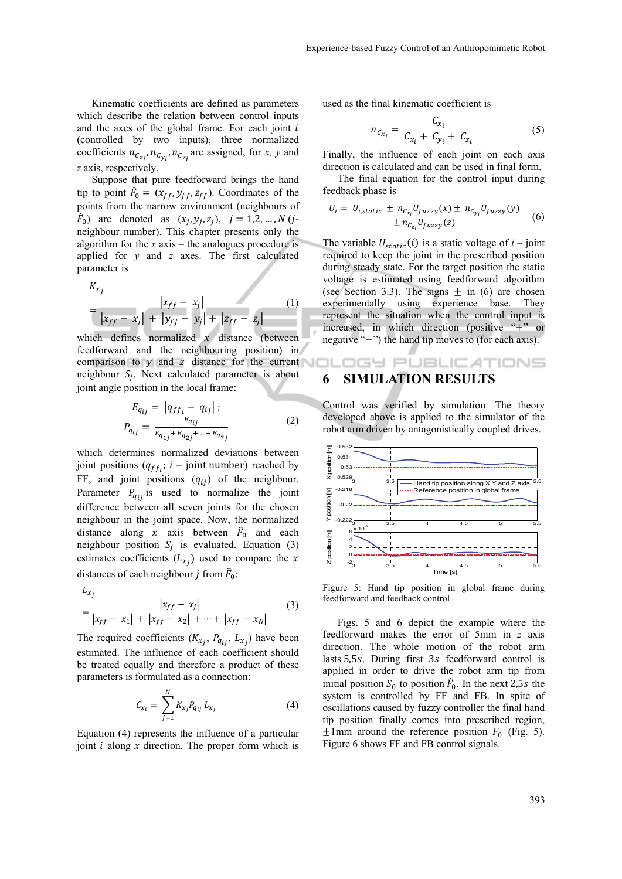Kinematic coefficients are defined as parameters which describe the relation between control inputs and the axes of the global frame. For each joint  $i$ (controlled by two inputs), three normalized coefficients  $n_{c_{x_i}}$ ,  $n_{c_{y_i}}$ ,  $n_{c_{z_i}}$  are assigned, for *x*, *y* and *z* axis, respectively.

Suppose that pure feedforward brings the hand tip to point  $\hat{F}_0 = (x_{ff}, y_{ff}, z_{ff})$ . Coordinates of the points from the narrow environment (neighbours of  $\hat{F}_0$ ) are denoted as  $(x_j, y_j, z_j)$ ,  $j = 1, 2, ..., N$  (*j*neighbour number). This chapter presents only the algorithm for the *x* axis – the analogues procedure is applied for *y* and *z* axes. The first calculated parameter is

$$
K_{x_j} = \frac{|x_{ff} - x_j|}{|x_{ff} - x_j| + |y_{ff} - y_j| + |z_{ff} - z_j|}
$$
 (1)

which defines normalized  $x$  distance (between feedforward and the neighbouring position) in comparison to  $y$  and z distance for the current neighbour  $S_i$ . Next calculated parameter is about joint angle position in the local frame:

$$
E_{q_{ij}} = |q_{ff_i} - q_{ij}|;
$$
  
\n
$$
P_{q_{ij}} = \frac{E_{q_{ij}}}{E_{q_{1j} + E_{q_{2j} + \dots + E_{q_{7j}}}}
$$
\n(2)

which determines normalized deviations between joint positions  $(q_{ff}$ ;  $i -$  joint number) reached by FF, and joint positions  $(q_{ij})$  of the neighbour. Parameter  $P_{q_{ij}}$  is used to normalize the joint difference between all seven joints for the chosen neighbour in the joint space. Now, the normalized distance along x axis between  $\hat{F}_0$  and each neighbour position  $S_j$  is evaluated. Equation (3) estimates coefficients  $(L_{x_i})$  used to compare the x distances of each neighbour *j* from  $\hat{F}_0$ :

$$
L_{x_j}
$$
  
=  $\frac{|x_{ff} - x_j|}{|x_{ff} - x_1| + |x_{ff} - x_2| + \dots + |x_{ff} - x_N|}$  (3)

The required coefficients  $(K_{x_j}, P_{q_{ij}}, L_{x_j})$  have been estimated. The influence of each coefficient should be treated equally and therefore a product of these parameters is formulated as a connection:

$$
C_{x_i} = \sum_{j=1}^{N} K_{x_j} P_{q_{ij}} L_{x_j}
$$
 (4)

Equation (4) represents the influence of a particular joint *i* along *x* direction. The proper form which is used as the final kinematic coefficient is

$$
n_{c_{x_i}} = \frac{c_{x_i}}{c_{x_i} + c_{y_i} + c_{z_i}}
$$
 (5)

Finally, the influence of each joint on each axis direction is calculated and can be used in final form.

The final equation for the control input during feedback phase is

$$
U_i = U_{i,static} \pm n_{C_{x_i}} U_{fuzzy}(x) \pm n_{C_{y_i}} U_{fuzzy}(y)
$$
  

$$
\pm n_{C_{z_i}} U_{fuzzy}(z)
$$
 (6)

The variable  $U_{static}(i)$  is a static voltage of  $i$  – joint required to keep the joint in the prescribed position during steady state. For the target position the static voltage is estimated using feedforward algorithm (see Section 3.3). The signs  $\pm$  in (6) are chosen experimentally using experience base. They represent the situation when the control input is increased, in which direction (positive "+" or negative " $-$ ") the hand tip moves to (for each axis).

## **6 SIMULATION RESULTS**

Control was verified by simulation. The theory developed above is applied to the simulator of the robot arm driven by antagonistically coupled drives.

OGY PUBLICATIONS



Figure 5: Hand tip position in global frame during feedforward and feedback control.

Figs. 5 and 6 depict the example where the feedforward makes the error of 5mm in *z* axis direction. The whole motion of the robot arm lasts 5,5s. During first 3s feedforward control is applied in order to drive the robot arm tip from initial position  $S_0$  to position  $\hat{F}_0$ . In the next 2,5s the system is controlled by FF and FB. In spite of oscillations caused by fuzzy controller the final hand tip position finally comes into prescribed region,  $\pm$ 1mm around the reference position  $F_0$  (Fig. 5). Figure 6 shows FF and FB control signals.